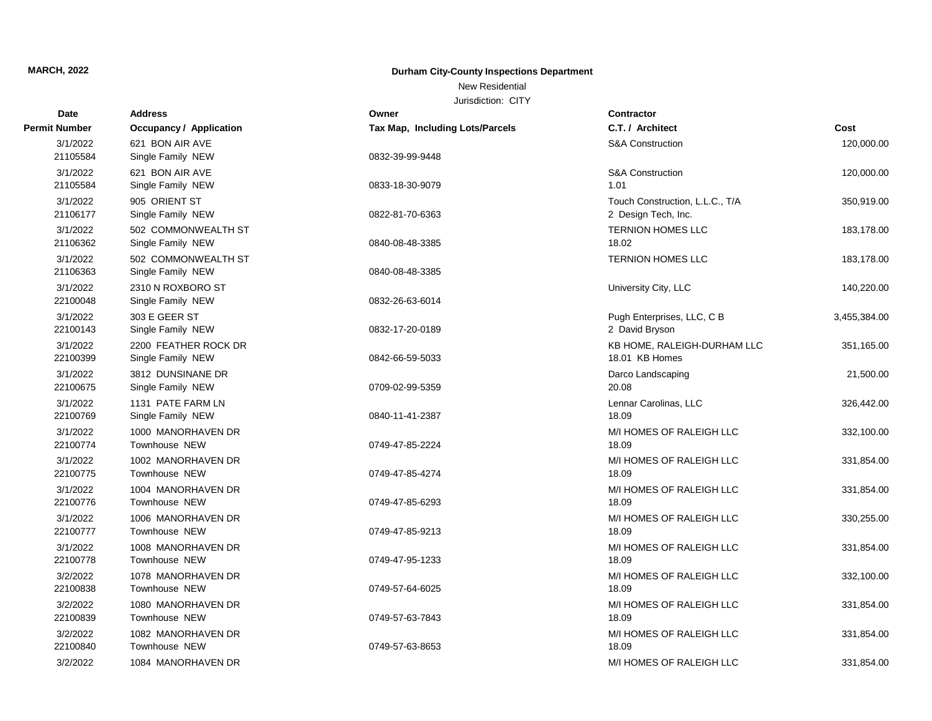New Residential

| Date                 | <b>Address</b>                 | Owner                                  | <b>Contractor</b>               |              |
|----------------------|--------------------------------|----------------------------------------|---------------------------------|--------------|
| <b>Permit Number</b> | <b>Occupancy / Application</b> | <b>Tax Map, Including Lots/Parcels</b> | C.T. / Architect                | Cost         |
| 3/1/2022             | 621 BON AIR AVE                |                                        | <b>S&amp;A Construction</b>     | 120,000.00   |
| 21105584             | Single Family NEW              | 0832-39-99-9448                        |                                 |              |
| 3/1/2022             | 621 BON AIR AVE                |                                        | <b>S&amp;A Construction</b>     | 120,000.00   |
| 21105584             | Single Family NEW              | 0833-18-30-9079                        | 1.01                            |              |
| 3/1/2022             | 905 ORIENT ST                  |                                        | Touch Construction, L.L.C., T/A | 350,919.00   |
| 21106177             | Single Family NEW              | 0822-81-70-6363                        | 2 Design Tech, Inc.             |              |
| 3/1/2022             | 502 COMMONWEALTH ST            |                                        | <b>TERNION HOMES LLC</b>        | 183,178.00   |
| 21106362             | Single Family NEW              | 0840-08-48-3385                        | 18.02                           |              |
| 3/1/2022             | 502 COMMONWEALTH ST            |                                        | <b>TERNION HOMES LLC</b>        | 183,178.00   |
| 21106363             | Single Family NEW              | 0840-08-48-3385                        |                                 |              |
| 3/1/2022             | 2310 N ROXBORO ST              |                                        | University City, LLC            | 140,220.00   |
| 22100048             | Single Family NEW              | 0832-26-63-6014                        |                                 |              |
| 3/1/2022             | 303 E GEER ST                  |                                        | Pugh Enterprises, LLC, C B      | 3,455,384.00 |
| 22100143             | Single Family NEW              | 0832-17-20-0189                        | 2 David Bryson                  |              |
| 3/1/2022             | 2200 FEATHER ROCK DR           |                                        | KB HOME, RALEIGH-DURHAM LLC     | 351,165.00   |
| 22100399             | Single Family NEW              | 0842-66-59-5033                        | 18.01 KB Homes                  |              |
| 3/1/2022             | 3812 DUNSINANE DR              |                                        | Darco Landscaping               | 21,500.00    |
| 22100675             | Single Family NEW              | 0709-02-99-5359                        | 20.08                           |              |
| 3/1/2022             | 1131 PATE FARM LN              |                                        | Lennar Carolinas, LLC           | 326,442.00   |
| 22100769             | Single Family NEW              | 0840-11-41-2387                        | 18.09                           |              |
| 3/1/2022             | 1000 MANORHAVEN DR             |                                        | M/I HOMES OF RALEIGH LLC        | 332,100.00   |
| 22100774             | Townhouse NEW                  | 0749-47-85-2224                        | 18.09                           |              |
| 3/1/2022             | 1002 MANORHAVEN DR             |                                        | M/I HOMES OF RALEIGH LLC        | 331,854.00   |
| 22100775             | Townhouse NEW                  | 0749-47-85-4274                        | 18.09                           |              |
| 3/1/2022             | 1004 MANORHAVEN DR             |                                        | M/I HOMES OF RALEIGH LLC        | 331,854.00   |
| 22100776             | Townhouse NEW                  | 0749-47-85-6293                        | 18.09                           |              |
| 3/1/2022             | 1006 MANORHAVEN DR             |                                        | M/I HOMES OF RALEIGH LLC        | 330,255.00   |
| 22100777             | Townhouse NEW                  | 0749-47-85-9213                        | 18.09                           |              |
| 3/1/2022             | 1008 MANORHAVEN DR             |                                        | M/I HOMES OF RALEIGH LLC        | 331,854.00   |
| 22100778             | Townhouse NEW                  | 0749-47-95-1233                        | 18.09                           |              |
| 3/2/2022             | 1078 MANORHAVEN DR             |                                        | M/I HOMES OF RALEIGH LLC        | 332,100.00   |
| 22100838             | Townhouse NEW                  | 0749-57-64-6025                        | 18.09                           |              |
| 3/2/2022             | 1080 MANORHAVEN DR             |                                        | M/I HOMES OF RALEIGH LLC        | 331,854.00   |
| 22100839             | <b>Townhouse NEW</b>           | 0749-57-63-7843                        | 18.09                           |              |
| 3/2/2022             | 1082 MANORHAVEN DR             |                                        | M/I HOMES OF RALEIGH LLC        | 331,854.00   |
| 22100840             | Townhouse NEW                  | 0749-57-63-8653                        | 18.09                           |              |
| 3/2/2022             | 1084 MANORHAVEN DR             |                                        | M/I HOMES OF RALEIGH LLC        | 331,854.00   |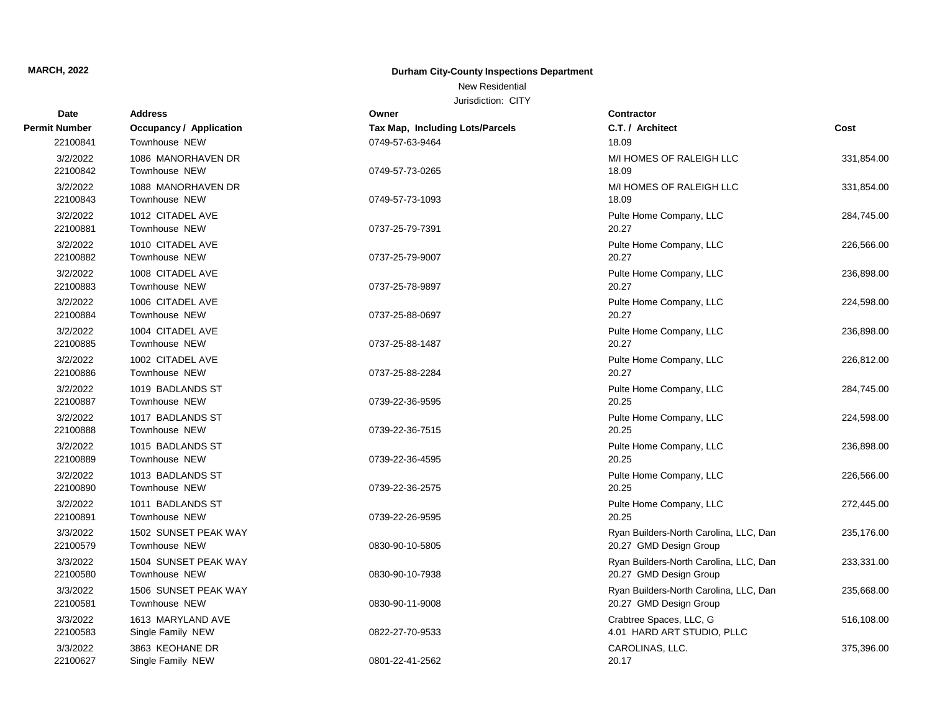## New Residential

| <b>Date</b>          | <b>Address</b>                         | Owner                           | <b>Contractor</b>                                                |            |
|----------------------|----------------------------------------|---------------------------------|------------------------------------------------------------------|------------|
| <b>Permit Number</b> | <b>Occupancy / Application</b>         | Tax Map, Including Lots/Parcels | C.T. / Architect                                                 | Cost       |
| 22100841             | Townhouse NEW                          | 0749-57-63-9464                 | 18.09                                                            |            |
| 3/2/2022<br>22100842 | 1086 MANORHAVEN DR<br>Townhouse NEW    | 0749-57-73-0265                 | M/I HOMES OF RALEIGH LLC<br>18.09                                | 331,854.00 |
| 3/2/2022<br>22100843 | 1088 MANORHAVEN DR<br>Townhouse NEW    | 0749-57-73-1093                 | M/I HOMES OF RALEIGH LLC<br>18.09                                | 331,854.00 |
| 3/2/2022<br>22100881 | 1012 CITADEL AVE<br>Townhouse NEW      | 0737-25-79-7391                 | Pulte Home Company, LLC<br>20.27                                 | 284,745.00 |
| 3/2/2022<br>22100882 | 1010 CITADEL AVE<br>Townhouse NEW      | 0737-25-79-9007                 | Pulte Home Company, LLC<br>20.27                                 | 226,566.00 |
| 3/2/2022<br>22100883 | 1008 CITADEL AVE<br>Townhouse NEW      | 0737-25-78-9897                 | Pulte Home Company, LLC<br>20.27                                 | 236,898.00 |
| 3/2/2022<br>22100884 | 1006 CITADEL AVE<br>Townhouse NEW      | 0737-25-88-0697                 | Pulte Home Company, LLC<br>20.27                                 | 224,598.00 |
| 3/2/2022<br>22100885 | 1004 CITADEL AVE<br>Townhouse NEW      | 0737-25-88-1487                 | Pulte Home Company, LLC<br>20.27                                 | 236,898.00 |
| 3/2/2022<br>22100886 | 1002 CITADEL AVE<br>Townhouse NEW      | 0737-25-88-2284                 | Pulte Home Company, LLC<br>20.27                                 | 226,812.00 |
| 3/2/2022<br>22100887 | 1019 BADLANDS ST<br>Townhouse NEW      | 0739-22-36-9595                 | Pulte Home Company, LLC<br>20.25                                 | 284,745.00 |
| 3/2/2022<br>22100888 | 1017 BADLANDS ST<br>Townhouse NEW      | 0739-22-36-7515                 | Pulte Home Company, LLC<br>20.25                                 | 224,598.00 |
| 3/2/2022<br>22100889 | 1015 BADLANDS ST<br>Townhouse NEW      | 0739-22-36-4595                 | Pulte Home Company, LLC<br>20.25                                 | 236,898.00 |
| 3/2/2022<br>22100890 | 1013 BADLANDS ST<br>Townhouse NEW      | 0739-22-36-2575                 | Pulte Home Company, LLC<br>20.25                                 | 226,566.00 |
| 3/2/2022<br>22100891 | 1011 BADLANDS ST<br>Townhouse NEW      | 0739-22-26-9595                 | Pulte Home Company, LLC<br>20.25                                 | 272,445.00 |
| 3/3/2022<br>22100579 | 1502 SUNSET PEAK WAY<br>Townhouse NEW  | 0830-90-10-5805                 | Ryan Builders-North Carolina, LLC, Dan<br>20.27 GMD Design Group | 235,176.00 |
| 3/3/2022<br>22100580 | 1504 SUNSET PEAK WAY<br>Townhouse NEW  | 0830-90-10-7938                 | Ryan Builders-North Carolina, LLC, Dan<br>20.27 GMD Design Group | 233,331.00 |
| 3/3/2022<br>22100581 | 1506 SUNSET PEAK WAY<br>Townhouse NEW  | 0830-90-11-9008                 | Ryan Builders-North Carolina, LLC, Dan<br>20.27 GMD Design Group | 235,668.00 |
| 3/3/2022<br>22100583 | 1613 MARYLAND AVE<br>Single Family NEW | 0822-27-70-9533                 | Crabtree Spaces, LLC, G<br>4.01 HARD ART STUDIO, PLLC            | 516,108.00 |
| 3/3/2022<br>22100627 | 3863 KEOHANE DR<br>Single Family NEW   | 0801-22-41-2562                 | CAROLINAS, LLC.<br>20.17                                         | 375,396.00 |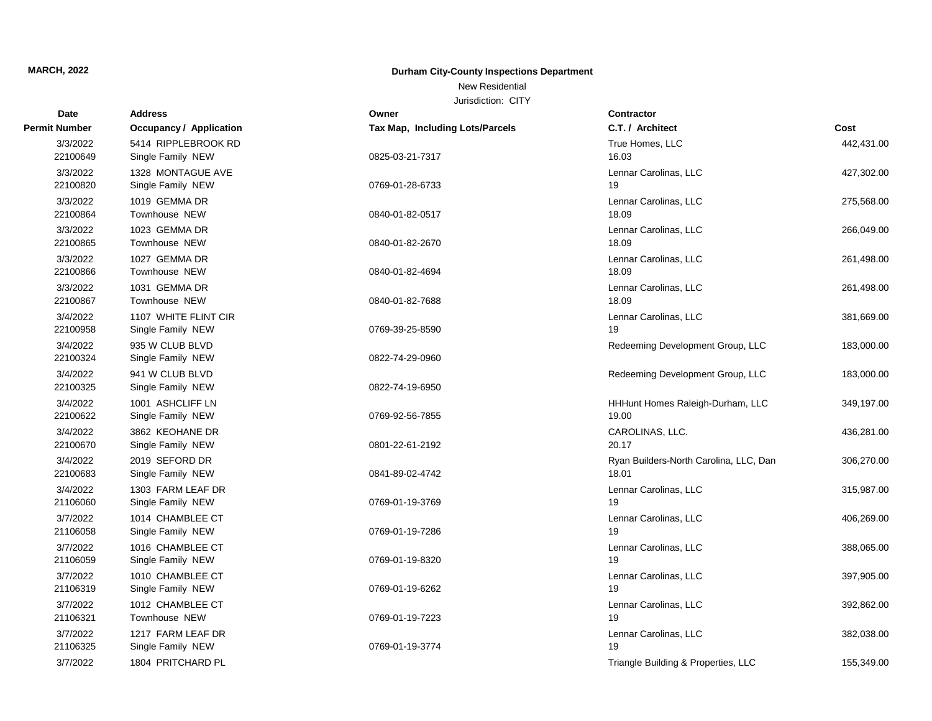New Residential

| <b>Date</b>          | <b>Address</b>                 | Owner                           | <b>Contractor</b>                      |            |
|----------------------|--------------------------------|---------------------------------|----------------------------------------|------------|
| <b>Permit Number</b> | <b>Occupancy / Application</b> | Tax Map, Including Lots/Parcels | C.T. / Architect                       | Cost       |
| 3/3/2022             | 5414 RIPPLEBROOK RD            |                                 | True Homes, LLC                        | 442,431.00 |
| 22100649             | Single Family NEW              | 0825-03-21-7317                 | 16.03                                  |            |
| 3/3/2022             | 1328 MONTAGUE AVE              |                                 | Lennar Carolinas, LLC                  | 427,302.00 |
| 22100820             | Single Family NEW              | 0769-01-28-6733                 | 19                                     |            |
| 3/3/2022             | 1019 GEMMA DR                  |                                 | Lennar Carolinas, LLC                  | 275,568.00 |
| 22100864             | Townhouse NEW                  | 0840-01-82-0517                 | 18.09                                  |            |
| 3/3/2022             | 1023 GEMMA DR                  |                                 | Lennar Carolinas, LLC                  | 266,049.00 |
| 22100865             | Townhouse NEW                  | 0840-01-82-2670                 | 18.09                                  |            |
| 3/3/2022             | 1027 GEMMA DR                  |                                 | Lennar Carolinas, LLC                  | 261,498.00 |
| 22100866             | Townhouse NEW                  | 0840-01-82-4694                 | 18.09                                  |            |
| 3/3/2022             | 1031 GEMMA DR                  |                                 | Lennar Carolinas, LLC                  | 261,498.00 |
| 22100867             | Townhouse NEW                  | 0840-01-82-7688                 | 18.09                                  |            |
| 3/4/2022             | 1107 WHITE FLINT CIR           |                                 | Lennar Carolinas, LLC                  | 381,669.00 |
| 22100958             | Single Family NEW              | 0769-39-25-8590                 | 19                                     |            |
| 3/4/2022             | 935 W CLUB BLVD                |                                 | Redeeming Development Group, LLC       | 183,000.00 |
| 22100324             | Single Family NEW              | 0822-74-29-0960                 |                                        |            |
| 3/4/2022             | 941 W CLUB BLVD                |                                 | Redeeming Development Group, LLC       | 183,000.00 |
| 22100325             | Single Family NEW              | 0822-74-19-6950                 |                                        |            |
| 3/4/2022             | 1001 ASHCLIFF LN               |                                 | HHHunt Homes Raleigh-Durham, LLC       | 349,197.00 |
| 22100622             | Single Family NEW              | 0769-92-56-7855                 | 19.00                                  |            |
| 3/4/2022             | 3862 KEOHANE DR                |                                 | CAROLINAS, LLC.                        | 436,281.00 |
| 22100670             | Single Family NEW              | 0801-22-61-2192                 | 20.17                                  |            |
| 3/4/2022             | 2019 SEFORD DR                 |                                 | Ryan Builders-North Carolina, LLC, Dan | 306,270.00 |
| 22100683             | Single Family NEW              | 0841-89-02-4742                 | 18.01                                  |            |
| 3/4/2022             | 1303 FARM LEAF DR              |                                 | Lennar Carolinas, LLC                  | 315,987.00 |
| 21106060             | Single Family NEW              | 0769-01-19-3769                 | 19                                     |            |
| 3/7/2022             | 1014 CHAMBLEE CT               |                                 | Lennar Carolinas, LLC                  | 406,269.00 |
| 21106058             | Single Family NEW              | 0769-01-19-7286                 | 19                                     |            |
| 3/7/2022             | 1016 CHAMBLEE CT               |                                 | Lennar Carolinas, LLC                  | 388,065.00 |
| 21106059             | Single Family NEW              | 0769-01-19-8320                 | 19                                     |            |
| 3/7/2022             | 1010 CHAMBLEE CT               |                                 | Lennar Carolinas, LLC                  | 397,905.00 |
| 21106319             | Single Family NEW              | 0769-01-19-6262                 | 19                                     |            |
| 3/7/2022             | 1012 CHAMBLEE CT               |                                 | Lennar Carolinas, LLC                  | 392,862.00 |
| 21106321             | Townhouse NEW                  | 0769-01-19-7223                 | 19                                     |            |
| 3/7/2022             | 1217 FARM LEAF DR              |                                 | Lennar Carolinas, LLC                  | 382,038.00 |
| 21106325             | Single Family NEW              | 0769-01-19-3774                 | 19                                     |            |
| 3/7/2022             | 1804 PRITCHARD PL              |                                 | Triangle Building & Properties, LLC    | 155,349.00 |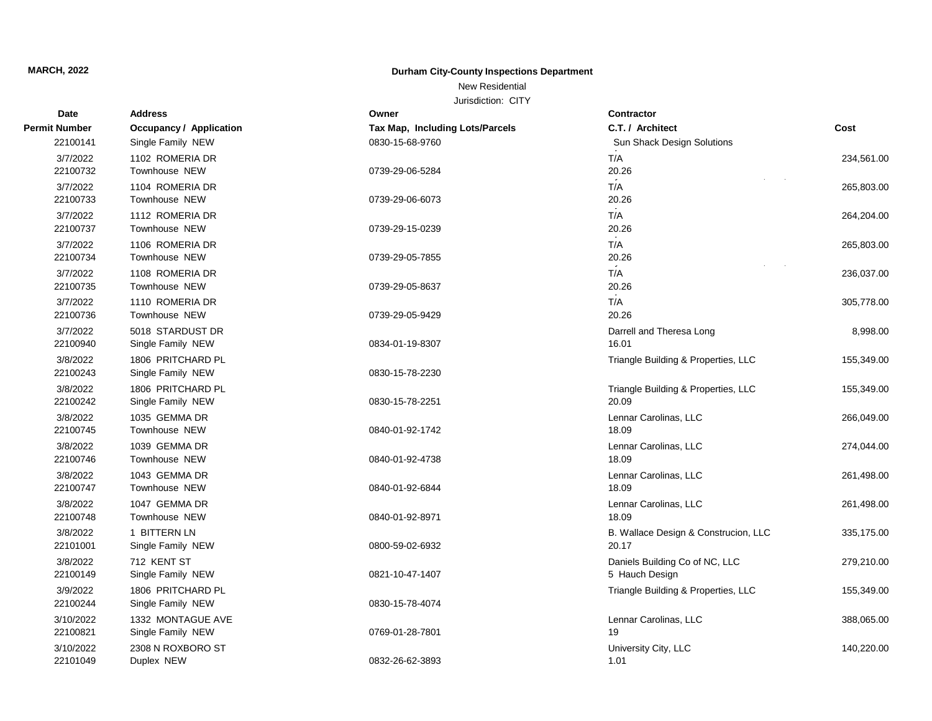## New Residential

| <b>Date</b>          | <b>Address</b>                 | Owner                           | Contractor                           |            |
|----------------------|--------------------------------|---------------------------------|--------------------------------------|------------|
| <b>Permit Number</b> | <b>Occupancy / Application</b> | Tax Map, Including Lots/Parcels | C.T. / Architect                     | Cost       |
| 22100141             | Single Family NEW              | 0830-15-68-9760                 | Sun Shack Design Solutions           |            |
| 3/7/2022             | 1102 ROMERIA DR                |                                 | $\sim 100$<br>T/A                    | 234,561.00 |
| 22100732             | Townhouse NEW                  | 0739-29-06-5284                 | 20.26                                |            |
| 3/7/2022             | 1104 ROMERIA DR                |                                 | T/A                                  | 265,803.00 |
| 22100733             | Townhouse NEW                  | 0739-29-06-6073                 | 20.26                                |            |
| 3/7/2022             | 1112 ROMERIA DR                |                                 | $\sim$ 100 $\pm$<br>T/A              | 264,204.00 |
| 22100737             | Townhouse NEW                  | 0739-29-15-0239                 | 20.26                                |            |
| 3/7/2022             | 1106 ROMERIA DR                |                                 | T/A                                  | 265,803.00 |
| 22100734             | Townhouse NEW                  | 0739-29-05-7855                 | 20.26                                |            |
| 3/7/2022             | 1108 ROMERIA DR                |                                 | T/A                                  | 236,037.00 |
| 22100735             | Townhouse NEW                  | 0739-29-05-8637                 | 20.26                                |            |
| 3/7/2022             | 1110 ROMERIA DR                |                                 | $\sim$ $\sim$<br>T/A                 | 305,778.00 |
| 22100736             | Townhouse NEW                  | 0739-29-05-9429                 | 20.26                                |            |
| 3/7/2022             | 5018 STARDUST DR               |                                 | Darrell and Theresa Long             | 8,998.00   |
| 22100940             | Single Family NEW              | 0834-01-19-8307                 | 16.01                                |            |
| 3/8/2022             | 1806 PRITCHARD PL              |                                 | Triangle Building & Properties, LLC  | 155,349.00 |
| 22100243             | Single Family NEW              | 0830-15-78-2230                 |                                      |            |
| 3/8/2022             | 1806 PRITCHARD PL              |                                 | Triangle Building & Properties, LLC  | 155,349.00 |
| 22100242             | Single Family NEW              | 0830-15-78-2251                 | 20.09                                |            |
| 3/8/2022             | 1035 GEMMA DR                  |                                 | Lennar Carolinas, LLC                | 266,049.00 |
| 22100745             | Townhouse NEW                  | 0840-01-92-1742                 | 18.09                                |            |
| 3/8/2022             | 1039 GEMMA DR                  |                                 | Lennar Carolinas, LLC                | 274,044.00 |
| 22100746             | Townhouse NEW                  | 0840-01-92-4738                 | 18.09                                |            |
| 3/8/2022             | 1043 GEMMA DR                  |                                 | Lennar Carolinas, LLC                | 261,498.00 |
| 22100747             | Townhouse NEW                  | 0840-01-92-6844                 | 18.09                                |            |
| 3/8/2022             | 1047 GEMMA DR                  |                                 | Lennar Carolinas, LLC                | 261,498.00 |
| 22100748             | Townhouse NEW                  | 0840-01-92-8971                 | 18.09                                |            |
| 3/8/2022             | 1 BITTERN LN                   |                                 | B. Wallace Design & Construcion, LLC | 335,175.00 |
| 22101001             | Single Family NEW              | 0800-59-02-6932                 | 20.17                                |            |
| 3/8/2022             | 712 KENT ST                    |                                 | Daniels Building Co of NC, LLC       | 279,210.00 |
| 22100149             | Single Family NEW              | 0821-10-47-1407                 | 5 Hauch Design                       |            |
| 3/9/2022             | 1806 PRITCHARD PL              |                                 | Triangle Building & Properties, LLC  | 155,349.00 |
| 22100244             | Single Family NEW              | 0830-15-78-4074                 |                                      |            |
| 3/10/2022            | 1332 MONTAGUE AVE              |                                 | Lennar Carolinas, LLC                | 388,065.00 |
| 22100821             | Single Family NEW              | 0769-01-28-7801                 | 19                                   |            |
| 3/10/2022            | 2308 N ROXBORO ST              |                                 | University City, LLC                 | 140,220.00 |
| 22101049             | Duplex NEW                     | 0832-26-62-3893                 | 1.01                                 |            |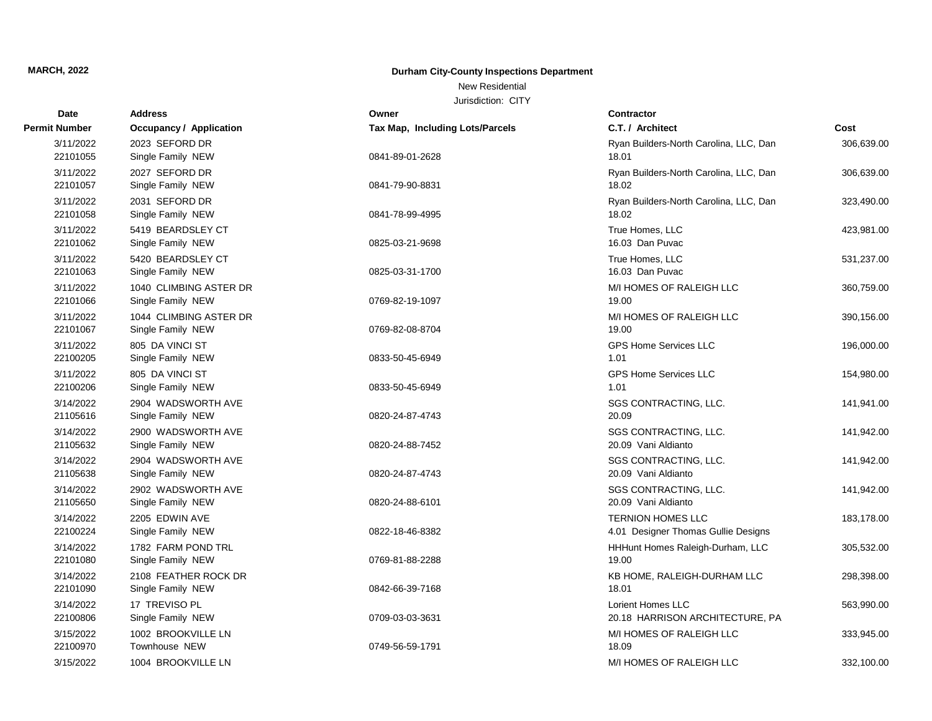New Residential

| <b>Date</b>           | <b>Address</b>                              | Owner                                  | <b>Contractor</b>                                               |            |
|-----------------------|---------------------------------------------|----------------------------------------|-----------------------------------------------------------------|------------|
| <b>Permit Number</b>  | <b>Occupancy / Application</b>              | <b>Tax Map, Including Lots/Parcels</b> | C.T. / Architect                                                | Cost       |
| 3/11/2022<br>22101055 | 2023 SEFORD DR<br>Single Family NEW         | 0841-89-01-2628                        | Ryan Builders-North Carolina, LLC, Dan<br>18.01                 | 306,639.00 |
| 3/11/2022<br>22101057 | 2027 SEFORD DR<br>Single Family NEW         | 0841-79-90-8831                        | Ryan Builders-North Carolina, LLC, Dan<br>18.02                 | 306,639.00 |
| 3/11/2022<br>22101058 | 2031 SEFORD DR<br>Single Family NEW         | 0841-78-99-4995                        | Ryan Builders-North Carolina, LLC, Dan<br>18.02                 | 323,490.00 |
| 3/11/2022<br>22101062 | 5419 BEARDSLEY CT<br>Single Family NEW      | 0825-03-21-9698                        | True Homes, LLC<br>16.03 Dan Puvac                              | 423,981.00 |
| 3/11/2022<br>22101063 | 5420 BEARDSLEY CT<br>Single Family NEW      | 0825-03-31-1700                        | True Homes, LLC<br>16.03 Dan Puvac                              | 531,237.00 |
| 3/11/2022<br>22101066 | 1040 CLIMBING ASTER DR<br>Single Family NEW | 0769-82-19-1097                        | M/I HOMES OF RALEIGH LLC<br>19.00                               | 360,759.00 |
| 3/11/2022<br>22101067 | 1044 CLIMBING ASTER DR<br>Single Family NEW | 0769-82-08-8704                        | M/I HOMES OF RALEIGH LLC<br>19.00                               | 390,156.00 |
| 3/11/2022<br>22100205 | 805 DA VINCI ST<br>Single Family NEW        | 0833-50-45-6949                        | <b>GPS Home Services LLC</b><br>1.01                            | 196,000.00 |
| 3/11/2022<br>22100206 | 805 DA VINCI ST<br>Single Family NEW        | 0833-50-45-6949                        | GPS Home Services LLC<br>1.01                                   | 154,980.00 |
| 3/14/2022<br>21105616 | 2904 WADSWORTH AVE<br>Single Family NEW     | 0820-24-87-4743                        | SGS CONTRACTING, LLC.<br>20.09                                  | 141,941.00 |
| 3/14/2022<br>21105632 | 2900 WADSWORTH AVE<br>Single Family NEW     | 0820-24-88-7452                        | SGS CONTRACTING, LLC.<br>20.09 Vani Aldianto                    | 141,942.00 |
| 3/14/2022<br>21105638 | 2904 WADSWORTH AVE<br>Single Family NEW     | 0820-24-87-4743                        | SGS CONTRACTING, LLC.<br>20.09 Vani Aldianto                    | 141,942.00 |
| 3/14/2022<br>21105650 | 2902 WADSWORTH AVE<br>Single Family NEW     | 0820-24-88-6101                        | SGS CONTRACTING, LLC.<br>20.09 Vani Aldianto                    | 141,942.00 |
| 3/14/2022<br>22100224 | 2205 EDWIN AVE<br>Single Family NEW         | 0822-18-46-8382                        | <b>TERNION HOMES LLC</b><br>4.01 Designer Thomas Gullie Designs | 183,178.00 |
| 3/14/2022<br>22101080 | 1782 FARM POND TRL<br>Single Family NEW     | 0769-81-88-2288                        | HHHunt Homes Raleigh-Durham, LLC<br>19.00                       | 305,532.00 |
| 3/14/2022<br>22101090 | 2108 FEATHER ROCK DR<br>Single Family NEW   | 0842-66-39-7168                        | KB HOME, RALEIGH-DURHAM LLC<br>18.01                            | 298,398.00 |
| 3/14/2022<br>22100806 | 17 TREVISO PL<br>Single Family NEW          | 0709-03-03-3631                        | Lorient Homes LLC<br>20.18 HARRISON ARCHITECTURE, PA            | 563,990.00 |
| 3/15/2022<br>22100970 | 1002 BROOKVILLE LN<br>Townhouse NEW         | 0749-56-59-1791                        | M/I HOMES OF RALEIGH LLC<br>18.09                               | 333,945.00 |
| 3/15/2022             | 1004 BROOKVILLE LN                          |                                        | M/I HOMES OF RALEIGH LLC                                        | 332,100.00 |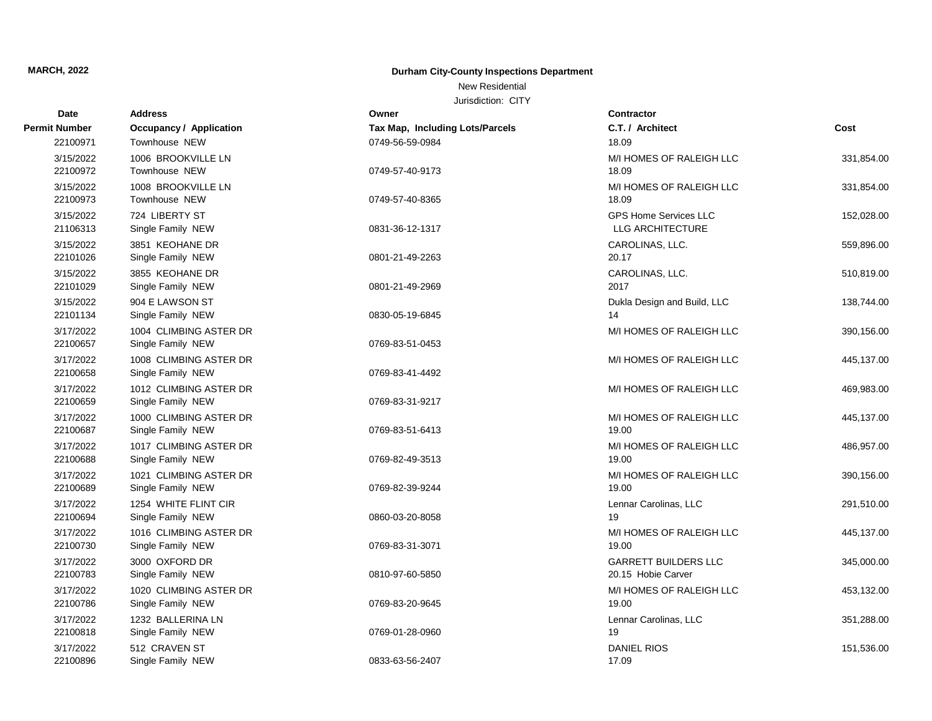New Residential

| Date                  | <b>Address</b>                              | Owner                           | <b>Contractor</b>                                 |            |
|-----------------------|---------------------------------------------|---------------------------------|---------------------------------------------------|------------|
| Permit Number         | <b>Occupancy / Application</b>              | Tax Map, Including Lots/Parcels | C.T. / Architect                                  | Cost       |
| 22100971              | Townhouse NEW                               | 0749-56-59-0984                 | 18.09                                             |            |
| 3/15/2022<br>22100972 | 1006 BROOKVILLE LN<br>Townhouse NEW         | 0749-57-40-9173                 | M/I HOMES OF RALEIGH LLC<br>18.09                 | 331,854.00 |
| 3/15/2022<br>22100973 | 1008 BROOKVILLE LN<br>Townhouse NEW         | 0749-57-40-8365                 | M/I HOMES OF RALEIGH LLC<br>18.09                 | 331,854.00 |
| 3/15/2022<br>21106313 | 724 LIBERTY ST<br>Single Family NEW         | 0831-36-12-1317                 | <b>GPS Home Services LLC</b><br>LLG ARCHITECTURE  | 152,028.00 |
| 3/15/2022<br>22101026 | 3851 KEOHANE DR<br>Single Family NEW        | 0801-21-49-2263                 | CAROLINAS, LLC.<br>20.17                          | 559,896.00 |
| 3/15/2022<br>22101029 | 3855 KEOHANE DR<br>Single Family NEW        | 0801-21-49-2969                 | CAROLINAS, LLC.<br>2017                           | 510,819.00 |
| 3/15/2022<br>22101134 | 904 E LAWSON ST<br>Single Family NEW        | 0830-05-19-6845                 | Dukla Design and Build, LLC<br>14                 | 138,744.00 |
| 3/17/2022<br>22100657 | 1004 CLIMBING ASTER DR<br>Single Family NEW | 0769-83-51-0453                 | M/I HOMES OF RALEIGH LLC                          | 390,156.00 |
| 3/17/2022<br>22100658 | 1008 CLIMBING ASTER DR<br>Single Family NEW | 0769-83-41-4492                 | M/I HOMES OF RALEIGH LLC                          | 445,137.00 |
| 3/17/2022<br>22100659 | 1012 CLIMBING ASTER DR<br>Single Family NEW | 0769-83-31-9217                 | M/I HOMES OF RALEIGH LLC                          | 469,983.00 |
| 3/17/2022<br>22100687 | 1000 CLIMBING ASTER DR<br>Single Family NEW | 0769-83-51-6413                 | M/I HOMES OF RALEIGH LLC<br>19.00                 | 445,137.00 |
| 3/17/2022<br>22100688 | 1017 CLIMBING ASTER DR<br>Single Family NEW | 0769-82-49-3513                 | M/I HOMES OF RALEIGH LLC<br>19.00                 | 486,957.00 |
| 3/17/2022<br>22100689 | 1021 CLIMBING ASTER DR<br>Single Family NEW | 0769-82-39-9244                 | M/I HOMES OF RALEIGH LLC<br>19.00                 | 390,156.00 |
| 3/17/2022<br>22100694 | 1254 WHITE FLINT CIR<br>Single Family NEW   | 0860-03-20-8058                 | Lennar Carolinas, LLC<br>19                       | 291,510.00 |
| 3/17/2022<br>22100730 | 1016 CLIMBING ASTER DR<br>Single Family NEW | 0769-83-31-3071                 | M/I HOMES OF RALEIGH LLC<br>19.00                 | 445,137.00 |
| 3/17/2022<br>22100783 | 3000 OXFORD DR<br>Single Family NEW         | 0810-97-60-5850                 | <b>GARRETT BUILDERS LLC</b><br>20.15 Hobie Carver | 345,000.00 |
| 3/17/2022<br>22100786 | 1020 CLIMBING ASTER DR<br>Single Family NEW | 0769-83-20-9645                 | M/I HOMES OF RALEIGH LLC<br>19.00                 | 453,132.00 |
| 3/17/2022<br>22100818 | 1232 BALLERINA LN<br>Single Family NEW      | 0769-01-28-0960                 | Lennar Carolinas, LLC<br>19                       | 351,288.00 |
| 3/17/2022<br>22100896 | 512 CRAVEN ST<br>Single Family NEW          | 0833-63-56-2407                 | <b>DANIEL RIOS</b><br>17.09                       | 151,536.00 |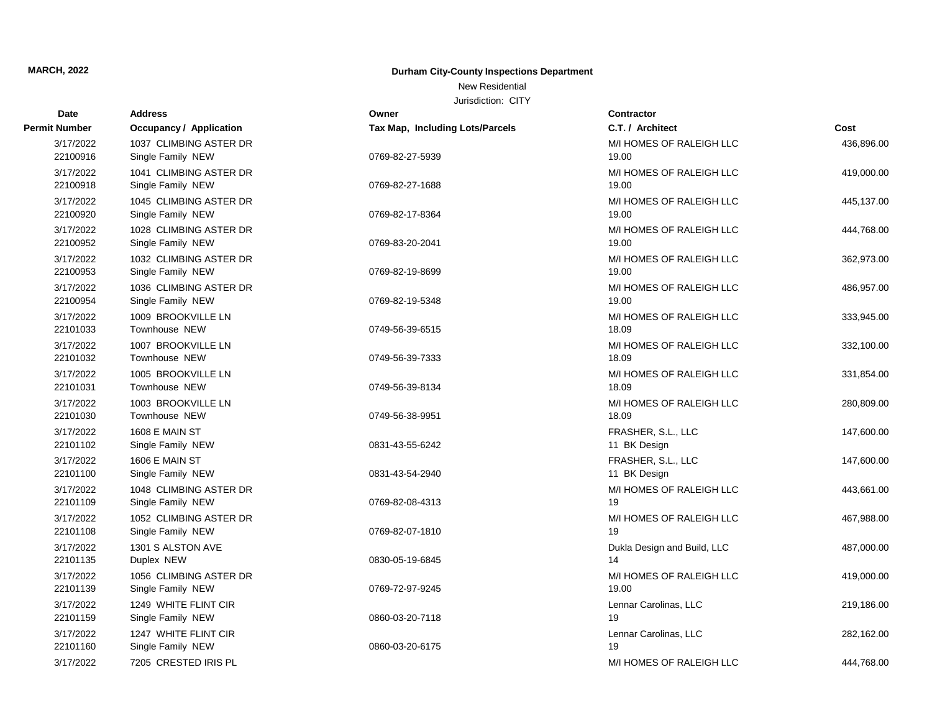New Residential

| Date                  | <b>Address</b>                              | Owner                                  | Contractor                        |            |
|-----------------------|---------------------------------------------|----------------------------------------|-----------------------------------|------------|
| <b>Permit Number</b>  | <b>Occupancy / Application</b>              | <b>Tax Map, Including Lots/Parcels</b> | C.T. / Architect                  | Cost       |
| 3/17/2022             | 1037 CLIMBING ASTER DR                      |                                        | M/I HOMES OF RALEIGH LLC          | 436,896.00 |
| 22100916              | Single Family NEW                           | 0769-82-27-5939                        | 19.00                             |            |
| 3/17/2022             | 1041 CLIMBING ASTER DR                      |                                        | M/I HOMES OF RALEIGH LLC          | 419,000.00 |
| 22100918              | Single Family NEW                           | 0769-82-27-1688                        | 19.00                             |            |
| 3/17/2022<br>22100920 | 1045 CLIMBING ASTER DR<br>Single Family NEW | 0769-82-17-8364                        | M/I HOMES OF RALEIGH LLC<br>19.00 | 445,137.00 |
| 3/17/2022             | 1028 CLIMBING ASTER DR                      |                                        | M/I HOMES OF RALEIGH LLC          | 444,768.00 |
| 22100952              | Single Family NEW                           | 0769-83-20-2041                        | 19.00                             |            |
| 3/17/2022             | 1032 CLIMBING ASTER DR                      |                                        | M/I HOMES OF RALEIGH LLC          | 362,973.00 |
| 22100953              | Single Family NEW                           | 0769-82-19-8699                        | 19.00                             |            |
| 3/17/2022             | 1036 CLIMBING ASTER DR                      |                                        | M/I HOMES OF RALEIGH LLC          | 486,957.00 |
| 22100954              | Single Family NEW                           | 0769-82-19-5348                        | 19.00                             |            |
| 3/17/2022             | 1009 BROOKVILLE LN                          |                                        | M/I HOMES OF RALEIGH LLC          | 333,945.00 |
| 22101033              | Townhouse NEW                               | 0749-56-39-6515                        | 18.09                             |            |
| 3/17/2022             | 1007 BROOKVILLE LN                          |                                        | M/I HOMES OF RALEIGH LLC          | 332,100.00 |
| 22101032              | Townhouse NEW                               | 0749-56-39-7333                        | 18.09                             |            |
| 3/17/2022             | 1005 BROOKVILLE LN                          |                                        | M/I HOMES OF RALEIGH LLC          | 331,854.00 |
| 22101031              | Townhouse NEW                               | 0749-56-39-8134                        | 18.09                             |            |
| 3/17/2022             | 1003 BROOKVILLE LN                          |                                        | M/I HOMES OF RALEIGH LLC          | 280,809.00 |
| 22101030              | Townhouse NEW                               | 0749-56-38-9951                        | 18.09                             |            |
| 3/17/2022             | 1608 E MAIN ST                              |                                        | FRASHER, S.L., LLC                | 147,600.00 |
| 22101102              | Single Family NEW                           | 0831-43-55-6242                        | 11 BK Design                      |            |
| 3/17/2022             | 1606 E MAIN ST                              |                                        | FRASHER, S.L., LLC                | 147,600.00 |
| 22101100              | Single Family NEW                           | 0831-43-54-2940                        | 11 BK Design                      |            |
| 3/17/2022             | 1048 CLIMBING ASTER DR                      |                                        | M/I HOMES OF RALEIGH LLC          | 443,661.00 |
| 22101109              | Single Family NEW                           | 0769-82-08-4313                        | 19                                |            |
| 3/17/2022             | 1052 CLIMBING ASTER DR                      |                                        | M/I HOMES OF RALEIGH LLC          | 467,988.00 |
| 22101108              | Single Family NEW                           | 0769-82-07-1810                        | 19                                |            |
| 3/17/2022             | 1301 S ALSTON AVE                           |                                        | Dukla Design and Build, LLC       | 487,000.00 |
| 22101135              | Duplex NEW                                  | 0830-05-19-6845                        | 14                                |            |
| 3/17/2022             | 1056 CLIMBING ASTER DR                      |                                        | M/I HOMES OF RALEIGH LLC          | 419,000.00 |
| 22101139              | Single Family NEW                           | 0769-72-97-9245                        | 19.00                             |            |
| 3/17/2022             | 1249 WHITE FLINT CIR                        |                                        | Lennar Carolinas, LLC             | 219,186.00 |
| 22101159              | Single Family NEW                           | 0860-03-20-7118                        | 19                                |            |
| 3/17/2022             | 1247 WHITE FLINT CIR                        |                                        | Lennar Carolinas, LLC             | 282,162.00 |
| 22101160              | Single Family NEW                           | 0860-03-20-6175                        | 19                                |            |
| 3/17/2022             | 7205 CRESTED IRIS PL                        |                                        | M/I HOMES OF RALEIGH LLC          | 444,768.00 |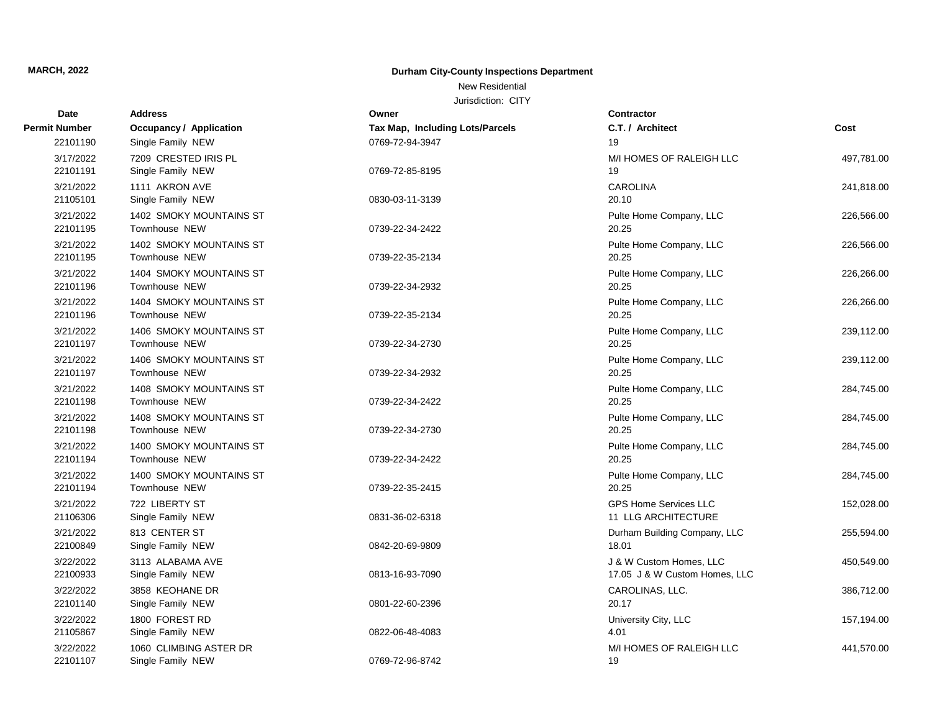New Residential

| Date                  | <b>Address</b>                              | Owner                           | Contractor                                               |            |
|-----------------------|---------------------------------------------|---------------------------------|----------------------------------------------------------|------------|
| <b>Permit Number</b>  | <b>Occupancy / Application</b>              | Tax Map, Including Lots/Parcels | C.T. / Architect                                         | Cost       |
| 22101190              | Single Family NEW                           | 0769-72-94-3947                 | 19                                                       |            |
| 3/17/2022<br>22101191 | 7209 CRESTED IRIS PL<br>Single Family NEW   | 0769-72-85-8195                 | M/I HOMES OF RALEIGH LLC<br>19                           | 497,781.00 |
| 3/21/2022<br>21105101 | 1111 AKRON AVE<br>Single Family NEW         | 0830-03-11-3139                 | <b>CAROLINA</b><br>20.10                                 | 241,818.00 |
| 3/21/2022<br>22101195 | 1402 SMOKY MOUNTAINS ST<br>Townhouse NEW    | 0739-22-34-2422                 | Pulte Home Company, LLC<br>20.25                         | 226,566.00 |
| 3/21/2022<br>22101195 | 1402 SMOKY MOUNTAINS ST<br>Townhouse NEW    | 0739-22-35-2134                 | Pulte Home Company, LLC<br>20.25                         | 226,566.00 |
| 3/21/2022<br>22101196 | 1404 SMOKY MOUNTAINS ST<br>Townhouse NEW    | 0739-22-34-2932                 | Pulte Home Company, LLC<br>20.25                         | 226,266.00 |
| 3/21/2022<br>22101196 | 1404 SMOKY MOUNTAINS ST<br>Townhouse NEW    | 0739-22-35-2134                 | Pulte Home Company, LLC<br>20.25                         | 226,266.00 |
| 3/21/2022<br>22101197 | 1406 SMOKY MOUNTAINS ST<br>Townhouse NEW    | 0739-22-34-2730                 | Pulte Home Company, LLC<br>20.25                         | 239,112.00 |
| 3/21/2022<br>22101197 | 1406 SMOKY MOUNTAINS ST<br>Townhouse NEW    | 0739-22-34-2932                 | Pulte Home Company, LLC<br>20.25                         | 239,112.00 |
| 3/21/2022<br>22101198 | 1408 SMOKY MOUNTAINS ST<br>Townhouse NEW    | 0739-22-34-2422                 | Pulte Home Company, LLC<br>20.25                         | 284,745.00 |
| 3/21/2022<br>22101198 | 1408 SMOKY MOUNTAINS ST<br>Townhouse NEW    | 0739-22-34-2730                 | Pulte Home Company, LLC<br>20.25                         | 284,745.00 |
| 3/21/2022<br>22101194 | 1400 SMOKY MOUNTAINS ST<br>Townhouse NEW    | 0739-22-34-2422                 | Pulte Home Company, LLC<br>20.25                         | 284,745.00 |
| 3/21/2022<br>22101194 | 1400 SMOKY MOUNTAINS ST<br>Townhouse NEW    | 0739-22-35-2415                 | Pulte Home Company, LLC<br>20.25                         | 284,745.00 |
| 3/21/2022<br>21106306 | 722 LIBERTY ST<br>Single Family NEW         | 0831-36-02-6318                 | <b>GPS Home Services LLC</b><br>11 LLG ARCHITECTURE      | 152,028.00 |
| 3/21/2022<br>22100849 | 813 CENTER ST<br>Single Family NEW          | 0842-20-69-9809                 | Durham Building Company, LLC<br>18.01                    | 255,594.00 |
| 3/22/2022<br>22100933 | 3113 ALABAMA AVE<br>Single Family NEW       | 0813-16-93-7090                 | J & W Custom Homes, LLC<br>17.05 J & W Custom Homes, LLC | 450,549.00 |
| 3/22/2022<br>22101140 | 3858 KEOHANE DR<br>Single Family NEW        | 0801-22-60-2396                 | CAROLINAS, LLC.<br>20.17                                 | 386,712.00 |
| 3/22/2022<br>21105867 | 1800 FOREST RD<br>Single Family NEW         | 0822-06-48-4083                 | University City, LLC<br>4.01                             | 157,194.00 |
| 3/22/2022<br>22101107 | 1060 CLIMBING ASTER DR<br>Single Family NEW | 0769-72-96-8742                 | M/I HOMES OF RALEIGH LLC<br>19                           | 441,570.00 |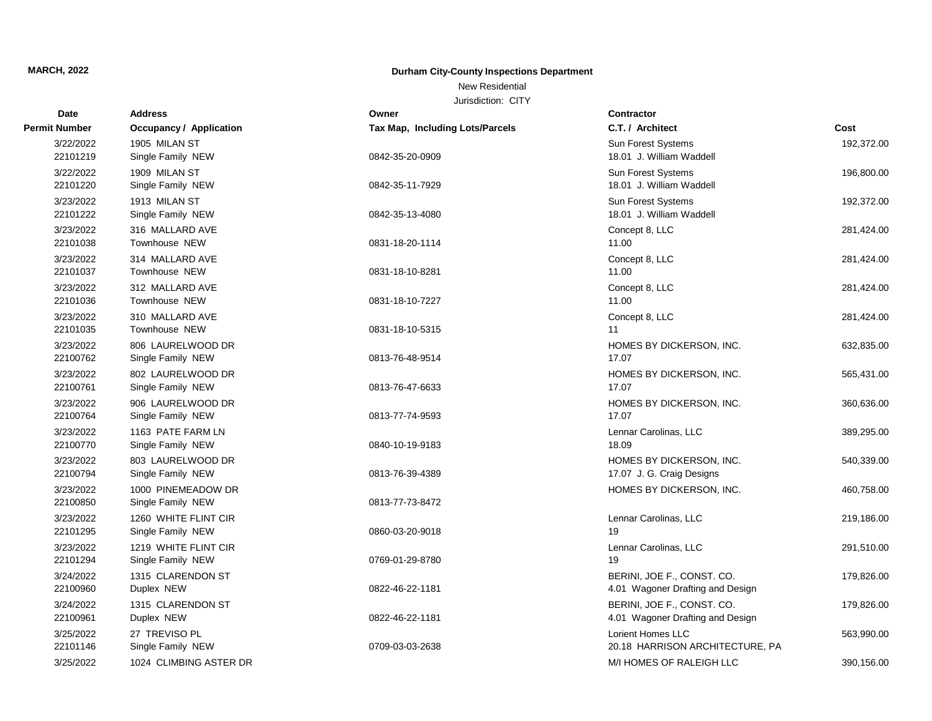New Residential

| Date                  | <b>Address</b>                            | Owner                                  | <b>Contractor</b>                                              |            |
|-----------------------|-------------------------------------------|----------------------------------------|----------------------------------------------------------------|------------|
| <b>Permit Number</b>  | Occupancy / Application                   | <b>Tax Map, Including Lots/Parcels</b> | C.T. / Architect                                               | Cost       |
| 3/22/2022<br>22101219 | 1905 MILAN ST<br>Single Family NEW        | 0842-35-20-0909                        | Sun Forest Systems<br>18.01 J. William Waddell                 | 192,372.00 |
| 3/22/2022<br>22101220 | 1909 MILAN ST<br>Single Family NEW        | 0842-35-11-7929                        | Sun Forest Systems<br>18.01 J. William Waddell                 | 196,800.00 |
| 3/23/2022<br>22101222 | 1913 MILAN ST<br>Single Family NEW        | 0842-35-13-4080                        | Sun Forest Systems<br>18.01 J. William Waddell                 | 192,372.00 |
| 3/23/2022<br>22101038 | 316 MALLARD AVE<br>Townhouse NEW          | 0831-18-20-1114                        | Concept 8, LLC<br>11.00                                        | 281,424.00 |
| 3/23/2022<br>22101037 | 314 MALLARD AVE<br>Townhouse NEW          | 0831-18-10-8281                        | Concept 8, LLC<br>11.00                                        | 281,424.00 |
| 3/23/2022<br>22101036 | 312 MALLARD AVE<br>Townhouse NEW          | 0831-18-10-7227                        | Concept 8, LLC<br>11.00                                        | 281,424.00 |
| 3/23/2022<br>22101035 | 310 MALLARD AVE<br>Townhouse NEW          | 0831-18-10-5315                        | Concept 8, LLC<br>11                                           | 281,424.00 |
| 3/23/2022<br>22100762 | 806 LAURELWOOD DR<br>Single Family NEW    | 0813-76-48-9514                        | HOMES BY DICKERSON, INC.<br>17.07                              | 632,835.00 |
| 3/23/2022<br>22100761 | 802 LAURELWOOD DR<br>Single Family NEW    | 0813-76-47-6633                        | HOMES BY DICKERSON, INC.<br>17.07                              | 565,431.00 |
| 3/23/2022<br>22100764 | 906 LAURELWOOD DR<br>Single Family NEW    | 0813-77-74-9593                        | HOMES BY DICKERSON, INC.<br>17.07                              | 360,636.00 |
| 3/23/2022<br>22100770 | 1163 PATE FARM LN<br>Single Family NEW    | 0840-10-19-9183                        | Lennar Carolinas, LLC<br>18.09                                 | 389,295.00 |
| 3/23/2022<br>22100794 | 803 LAURELWOOD DR<br>Single Family NEW    | 0813-76-39-4389                        | HOMES BY DICKERSON, INC.<br>17.07 J. G. Craig Designs          | 540,339.00 |
| 3/23/2022<br>22100850 | 1000 PINEMEADOW DR<br>Single Family NEW   | 0813-77-73-8472                        | HOMES BY DICKERSON, INC.                                       | 460,758.00 |
| 3/23/2022<br>22101295 | 1260 WHITE FLINT CIR<br>Single Family NEW | 0860-03-20-9018                        | Lennar Carolinas, LLC<br>19                                    | 219,186.00 |
| 3/23/2022<br>22101294 | 1219 WHITE FLINT CIR<br>Single Family NEW | 0769-01-29-8780                        | Lennar Carolinas, LLC<br>19                                    | 291,510.00 |
| 3/24/2022<br>22100960 | 1315 CLARENDON ST<br>Duplex NEW           | 0822-46-22-1181                        | BERINI, JOE F., CONST. CO.<br>4.01 Wagoner Drafting and Design | 179,826.00 |
| 3/24/2022<br>22100961 | 1315 CLARENDON ST<br>Duplex NEW           | 0822-46-22-1181                        | BERINI, JOE F., CONST. CO.<br>4.01 Wagoner Drafting and Design | 179,826.00 |
| 3/25/2022<br>22101146 | 27 TREVISO PL<br>Single Family NEW        | 0709-03-03-2638                        | Lorient Homes LLC<br>20.18 HARRISON ARCHITECTURE, PA           | 563,990.00 |
| 3/25/2022             | 1024 CLIMBING ASTER DR                    |                                        | M/I HOMES OF RALEIGH LLC                                       | 390,156.00 |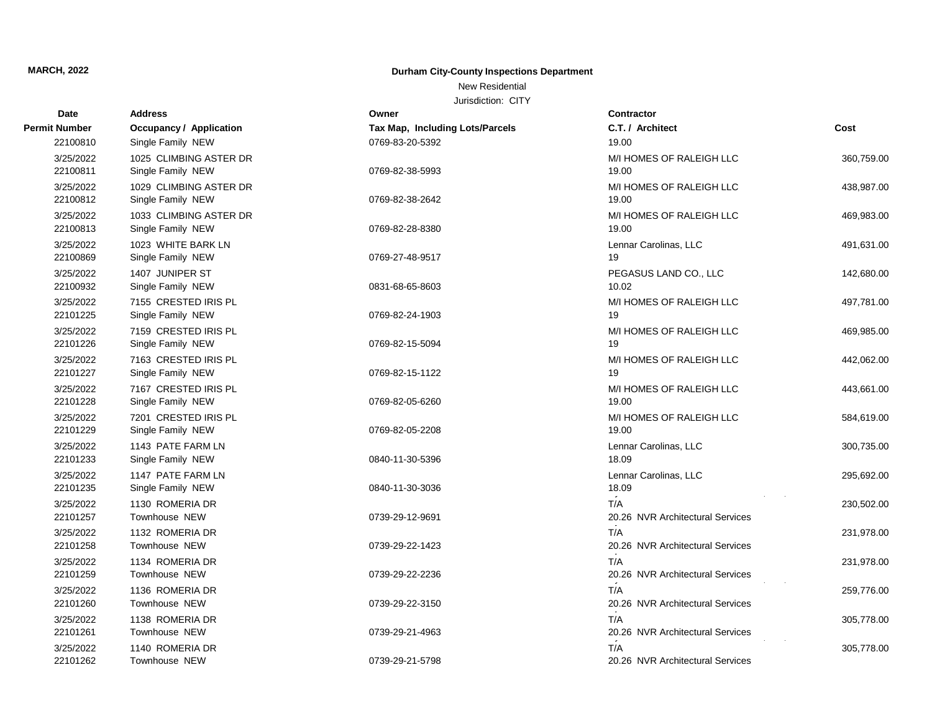New Residential

| Date                  | <b>Address</b>                              | Owner                           | <b>Contractor</b>                       |            |
|-----------------------|---------------------------------------------|---------------------------------|-----------------------------------------|------------|
| Permit Number         | Occupancy / Application                     | Tax Map, Including Lots/Parcels | C.T. / Architect                        | Cost       |
| 22100810              | Single Family NEW                           | 0769-83-20-5392                 | 19.00                                   |            |
| 3/25/2022<br>22100811 | 1025 CLIMBING ASTER DR<br>Single Family NEW | 0769-82-38-5993                 | M/I HOMES OF RALEIGH LLC<br>19.00       | 360,759.00 |
| 3/25/2022<br>22100812 | 1029 CLIMBING ASTER DR<br>Single Family NEW | 0769-82-38-2642                 | M/I HOMES OF RALEIGH LLC<br>19.00       | 438,987.00 |
| 3/25/2022<br>22100813 | 1033 CLIMBING ASTER DR<br>Single Family NEW | 0769-82-28-8380                 | M/I HOMES OF RALEIGH LLC<br>19.00       | 469,983.00 |
| 3/25/2022<br>22100869 | 1023 WHITE BARK LN<br>Single Family NEW     | 0769-27-48-9517                 | Lennar Carolinas, LLC<br>19             | 491,631.00 |
| 3/25/2022<br>22100932 | 1407 JUNIPER ST<br>Single Family NEW        | 0831-68-65-8603                 | PEGASUS LAND CO., LLC<br>10.02          | 142,680.00 |
| 3/25/2022<br>22101225 | 7155 CRESTED IRIS PL<br>Single Family NEW   | 0769-82-24-1903                 | M/I HOMES OF RALEIGH LLC<br>19          | 497,781.00 |
| 3/25/2022<br>22101226 | 7159 CRESTED IRIS PL<br>Single Family NEW   | 0769-82-15-5094                 | M/I HOMES OF RALEIGH LLC<br>19          | 469,985.00 |
| 3/25/2022<br>22101227 | 7163 CRESTED IRIS PL<br>Single Family NEW   | 0769-82-15-1122                 | M/I HOMES OF RALEIGH LLC<br>19          | 442,062.00 |
| 3/25/2022<br>22101228 | 7167 CRESTED IRIS PL<br>Single Family NEW   | 0769-82-05-6260                 | M/I HOMES OF RALEIGH LLC<br>19.00       | 443,661.00 |
| 3/25/2022<br>22101229 | 7201 CRESTED IRIS PL<br>Single Family NEW   | 0769-82-05-2208                 | M/I HOMES OF RALEIGH LLC<br>19.00       | 584,619.00 |
| 3/25/2022<br>22101233 | 1143 PATE FARM LN<br>Single Family NEW      | 0840-11-30-5396                 | Lennar Carolinas, LLC<br>18.09          | 300,735.00 |
| 3/25/2022<br>22101235 | 1147 PATE FARM LN<br>Single Family NEW      | 0840-11-30-3036                 | Lennar Carolinas, LLC<br>18.09          | 295,692.00 |
| 3/25/2022<br>22101257 | 1130 ROMERIA DR<br>Townhouse NEW            | 0739-29-12-9691                 | T/A<br>20.26 NVR Architectural Services | 230,502.00 |
| 3/25/2022<br>22101258 | 1132 ROMERIA DR<br>Townhouse NEW            | 0739-29-22-1423                 | T/A<br>20.26 NVR Architectural Services | 231,978.00 |
| 3/25/2022<br>22101259 | 1134 ROMERIA DR<br>Townhouse NEW            | 0739-29-22-2236                 | T/A<br>20.26 NVR Architectural Services | 231,978.00 |
| 3/25/2022<br>22101260 | 1136 ROMERIA DR<br>Townhouse NEW            | 0739-29-22-3150                 | T/A<br>20.26 NVR Architectural Services | 259,776.00 |
| 3/25/2022<br>22101261 | 1138 ROMERIA DR<br>Townhouse NEW            | 0739-29-21-4963                 | T/A<br>20.26 NVR Architectural Services | 305,778.00 |
| 3/25/2022<br>22101262 | 1140 ROMERIA DR<br>Townhouse NEW            | 0739-29-21-5798                 | T/A<br>20.26 NVR Architectural Services | 305,778.00 |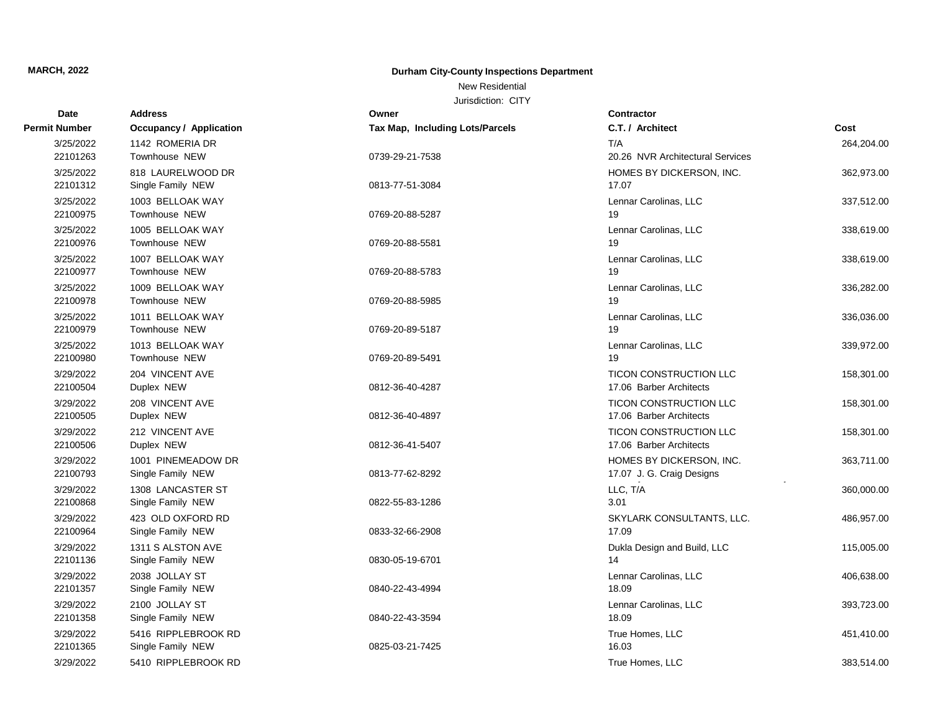New Residential

| Date                  | <b>Address</b>                           | Owner                           | <b>Contractor</b>                |            |
|-----------------------|------------------------------------------|---------------------------------|----------------------------------|------------|
| <b>Permit Number</b>  | <b>Occupancy / Application</b>           | Tax Map, Including Lots/Parcels | C.T. / Architect                 | Cost       |
| 3/25/2022             | 1142 ROMERIA DR                          |                                 | T/A                              | 264,204.00 |
| 22101263              | Townhouse NEW                            | 0739-29-21-7538                 | 20.26 NVR Architectural Services |            |
| 3/25/2022             | 818 LAURELWOOD DR                        |                                 | HOMES BY DICKERSON, INC.         | 362,973.00 |
| 22101312              | Single Family NEW                        | 0813-77-51-3084                 | 17.07                            |            |
| 3/25/2022             | 1003 BELLOAK WAY                         |                                 | Lennar Carolinas, LLC            | 337,512.00 |
| 22100975              | Townhouse NEW                            | 0769-20-88-5287                 | 19                               |            |
| 3/25/2022             | 1005 BELLOAK WAY                         |                                 | Lennar Carolinas, LLC            | 338,619.00 |
| 22100976              | Townhouse NEW                            | 0769-20-88-5581                 | 19                               |            |
| 3/25/2022             | 1007 BELLOAK WAY                         |                                 | Lennar Carolinas, LLC            | 338,619.00 |
| 22100977              | Townhouse NEW                            | 0769-20-88-5783                 | 19                               |            |
| 3/25/2022             | 1009 BELLOAK WAY                         |                                 | Lennar Carolinas, LLC            | 336,282.00 |
| 22100978              | Townhouse NEW                            | 0769-20-88-5985                 | 19                               |            |
| 3/25/2022             | 1011 BELLOAK WAY                         |                                 | Lennar Carolinas, LLC            | 336,036.00 |
| 22100979              | Townhouse NEW                            | 0769-20-89-5187                 | 19                               |            |
| 3/25/2022             | 1013 BELLOAK WAY                         |                                 | Lennar Carolinas, LLC            | 339,972.00 |
| 22100980              | Townhouse NEW                            | 0769-20-89-5491                 | 19                               |            |
| 3/29/2022             | 204 VINCENT AVE                          |                                 | <b>TICON CONSTRUCTION LLC</b>    | 158,301.00 |
| 22100504              | Duplex NEW                               | 0812-36-40-4287                 | 17.06 Barber Architects          |            |
| 3/29/2022             | 208 VINCENT AVE                          |                                 | <b>TICON CONSTRUCTION LLC</b>    | 158,301.00 |
| 22100505              | Duplex NEW                               | 0812-36-40-4897                 | 17.06 Barber Architects          |            |
| 3/29/2022             | 212 VINCENT AVE                          |                                 | <b>TICON CONSTRUCTION LLC</b>    | 158,301.00 |
| 22100506              | Duplex NEW                               | 0812-36-41-5407                 | 17.06 Barber Architects          |            |
| 3/29/2022             | 1001 PINEMEADOW DR                       |                                 | HOMES BY DICKERSON, INC.         | 363,711.00 |
| 22100793              | Single Family NEW                        | 0813-77-62-8292                 | 17.07 J. G. Craig Designs        |            |
| 3/29/2022             | 1308 LANCASTER ST                        |                                 | LLC, T/A                         | 360,000.00 |
| 22100868              | Single Family NEW                        | 0822-55-83-1286                 | 3.01                             |            |
| 3/29/2022             | 423 OLD OXFORD RD                        |                                 | SKYLARK CONSULTANTS, LLC.        | 486,957.00 |
| 22100964              | Single Family NEW                        | 0833-32-66-2908                 | 17.09                            |            |
| 3/29/2022             | 1311 S ALSTON AVE                        |                                 | Dukla Design and Build, LLC      | 115,005.00 |
| 22101136              | Single Family NEW                        | 0830-05-19-6701                 | 14                               |            |
| 3/29/2022             | 2038 JOLLAY ST                           |                                 | Lennar Carolinas, LLC            | 406,638.00 |
| 22101357              | Single Family NEW                        | 0840-22-43-4994                 | 18.09                            |            |
| 3/29/2022             | 2100 JOLLAY ST                           |                                 | Lennar Carolinas, LLC            | 393,723.00 |
| 22101358              | Single Family NEW                        | 0840-22-43-3594                 | 18.09                            |            |
| 3/29/2022<br>22101365 | 5416 RIPPLEBROOK RD<br>Single Family NEW | 0825-03-21-7425                 | True Homes, LLC<br>16.03         | 451,410.00 |
|                       |                                          |                                 |                                  |            |
| 3/29/2022             | 5410 RIPPLEBROOK RD                      |                                 | True Homes, LLC                  | 383,514.00 |